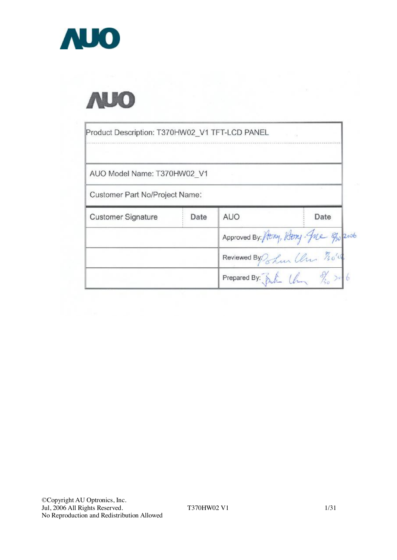



| Product Description: T370HW02 V1 TFT-LCD PANEL |      |                                                    |      |
|------------------------------------------------|------|----------------------------------------------------|------|
| AUO Model Name: T370HW02 V1                    |      |                                                    |      |
| Customer Part No/Project Name:                 |      |                                                    |      |
| <b>Customer Signature</b>                      | Date | <b>AUO</b>                                         | Date |
|                                                |      | Approved By: Hony, Hony. Jue 8/20 2006             |      |
|                                                |      | Reviewed By ? Lun Ulm 70's                         |      |
|                                                |      | Prepared By: $\delta h$ $(\ell_{m} \gamma_{s} > 6$ |      |

T370HW02 V1 1/31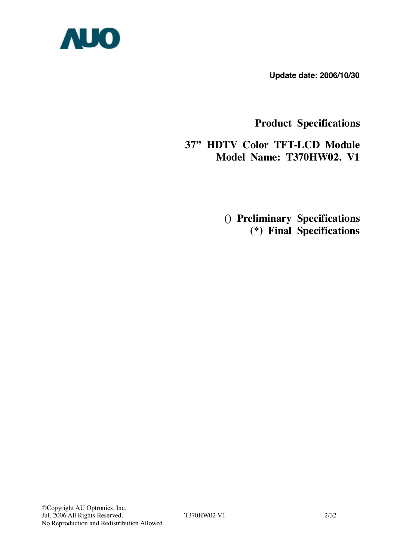

**Update date: 2006/10/30** 

**Product Specifications** 

**37" HDTV Color TFT-LCD Module Model Name: T370HW02. V1** 

> **() Preliminary Specifications (\*) Final Specifications**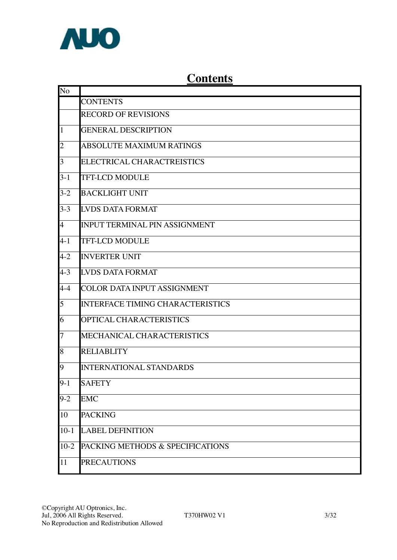

# **Contents**

| No             |                                         |
|----------------|-----------------------------------------|
|                | <b>CONTENTS</b>                         |
|                | <b>RECORD OF REVISIONS</b>              |
| $\mathbf{1}$   | <b>GENERAL DESCRIPTION</b>              |
| $\overline{c}$ | <b>ABSOLUTE MAXIMUM RATINGS</b>         |
| 3              | ELECTRICAL CHARACTREISTICS              |
| $3-1$          | <b>TFT-LCD MODULE</b>                   |
| $3-2$          | <b>BACKLIGHT UNIT</b>                   |
| $3 - 3$        | <b>LVDS DATA FORMAT</b>                 |
| $\overline{4}$ | <b>INPUT TERMINAL PIN ASSIGNMENT</b>    |
| $4 - 1$        | <b>TFT-LCD MODULE</b>                   |
| $4 - 2$        | <b>INVERTER UNIT</b>                    |
| $4 - 3$        | <b>LVDS DATA FORMAT</b>                 |
| $4 - 4$        | <b>COLOR DATA INPUT ASSIGNMENT</b>      |
| 5              | <b>INTERFACE TIMING CHARACTERISTICS</b> |
| 6              | OPTICAL CHARACTERISTICS                 |
| $\overline{7}$ | MECHANICAL CHARACTERISTICS              |
| 8              | <b>RELIABLITY</b>                       |
| 9              | <b>INTERNATIONAL STANDARDS</b>          |
| $9 - 1$        | <b>SAFETY</b>                           |
| $9 - 2$        | <b>EMC</b>                              |
| 10             | <b>PACKING</b>                          |
| $10-1$         | <b>LABEL DEFINITION</b>                 |
| $10-2$         | PACKING METHODS & SPECIFICATIONS        |
| 11             | <b>PRECAUTIONS</b>                      |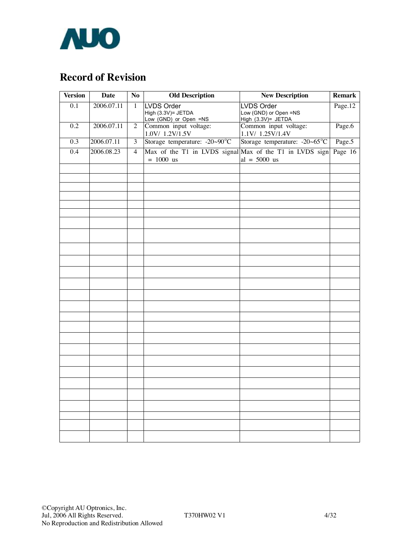

# **Record of Revision**

| <b>Version</b>   | <b>Date</b> | N <sub>o</sub> | <b>Old Description</b>                                                 | <b>New Description</b>                                    | <b>Remark</b> |  |  |
|------------------|-------------|----------------|------------------------------------------------------------------------|-----------------------------------------------------------|---------------|--|--|
| $\overline{0.1}$ | 2006.07.11  | $\mathbf{1}$   | LVDS Order<br>High (3.3V)= JETDA<br>Low (GND) or Open =NS              | LVDS Order<br>Low (GND) or Open =NS<br>High (3.3V)= JETDA | Page.12       |  |  |
| $\overline{0.2}$ | 2006.07.11  | $\overline{2}$ | Common input voltage:<br>1.0V/ 1.2V/1.5V                               | Common input voltage:<br>1.1V/ 1.25V/1.4V                 | Page.6        |  |  |
| 0.3              | 2006.07.11  | $\overline{3}$ | Storage temperature: -20~90°C                                          | Storage temperature: -20~65°C                             | Page.5        |  |  |
| $\overline{0.4}$ | 2006.08.23  | $\overline{4}$ | Max of the T1 in LVDS signal Max of the T1 in LVDS sign<br>$= 1000$ us | $al = 5000$ us                                            | Page 16       |  |  |
|                  |             |                |                                                                        |                                                           |               |  |  |
|                  |             |                |                                                                        |                                                           |               |  |  |
|                  |             |                |                                                                        |                                                           |               |  |  |
|                  |             |                |                                                                        |                                                           |               |  |  |
|                  |             |                |                                                                        |                                                           |               |  |  |
|                  |             |                |                                                                        |                                                           |               |  |  |
|                  |             |                |                                                                        |                                                           |               |  |  |
|                  |             |                |                                                                        |                                                           |               |  |  |
|                  |             |                |                                                                        |                                                           |               |  |  |
|                  |             |                |                                                                        |                                                           |               |  |  |
|                  |             |                |                                                                        |                                                           |               |  |  |
|                  |             |                |                                                                        |                                                           |               |  |  |
|                  |             |                |                                                                        |                                                           |               |  |  |
|                  |             |                |                                                                        |                                                           |               |  |  |
|                  |             |                |                                                                        |                                                           |               |  |  |
|                  |             |                |                                                                        |                                                           |               |  |  |
|                  |             |                |                                                                        |                                                           |               |  |  |
|                  |             |                |                                                                        |                                                           |               |  |  |
|                  |             |                |                                                                        |                                                           |               |  |  |
|                  |             |                |                                                                        |                                                           |               |  |  |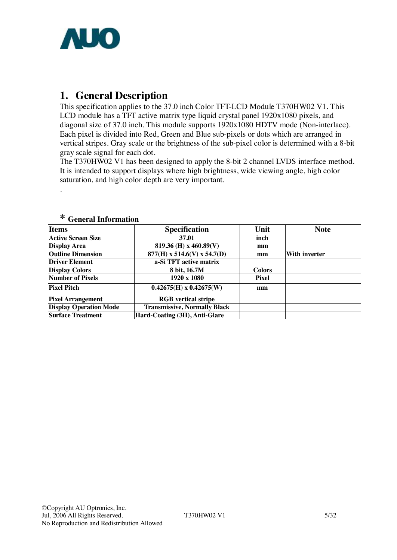

## **1. General Description**

This specification applies to the 37.0 inch Color TFT-LCD Module T370HW02 V1. This LCD module has a TFT active matrix type liquid crystal panel 1920x1080 pixels, and diagonal size of 37.0 inch. This module supports 1920x1080 HDTV mode (Non-interlace). Each pixel is divided into Red, Green and Blue sub-pixels or dots which are arranged in vertical stripes. Gray scale or the brightness of the sub-pixel color is determined with a 8-bit gray scale signal for each dot.

The T370HW02 V1 has been designed to apply the 8-bit 2 channel LVDS interface method. It is intended to support displays where high brightness, wide viewing angle, high color saturation, and high color depth are very important.

| Items                         | <b>Specification</b>                | Unit          | <b>Note</b>          |
|-------------------------------|-------------------------------------|---------------|----------------------|
| <b>Active Screen Size</b>     | 37.01                               | inch          |                      |
| <b>Display Area</b>           | 819.36 (H) x 460.89(V)              | mm            |                      |
| <b>Outline Dimension</b>      | $877(H)$ x 514.6(V) x 54.7(D)       | mm            | <b>With inverter</b> |
| <b>Driver Element</b>         | a-Si TFT active matrix              |               |                      |
| <b>Display Colors</b>         | 8 bit, 16.7M                        | <b>Colors</b> |                      |
| <b>Number of Pixels</b>       | $1920 \times 1080$                  | <b>Pixel</b>  |                      |
| <b>Pixel Pitch</b>            | $0.42675(H) \times 0.42675(W)$      | mm            |                      |
| <b>Pixel Arrangement</b>      | <b>RGB</b> vertical stripe          |               |                      |
| <b>Display Operation Mode</b> | <b>Transmissive, Normally Black</b> |               |                      |
| <b>Surface Treatment</b>      | Hard-Coating (3H), Anti-Glare       |               |                      |

#### **\* General Information**

.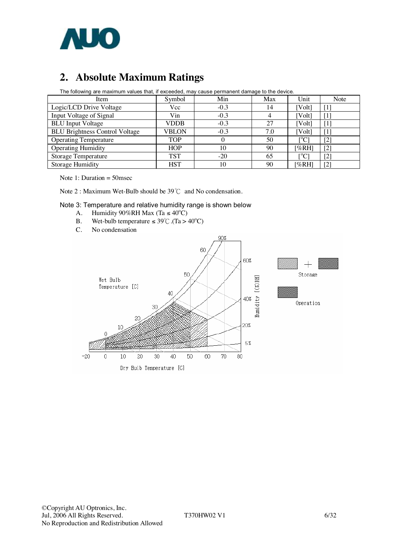

# **2. Absolute Maximum Ratings**

| The following are maximum values that, if exceeded, may cause permanent damage to the device. |              |        |     |             |                  |  |  |  |  |
|-----------------------------------------------------------------------------------------------|--------------|--------|-----|-------------|------------------|--|--|--|--|
| Item                                                                                          | Symbol       | Min    | Max | Unit        | Note             |  |  |  |  |
| Logic/LCD Drive Voltage                                                                       | Vcc          | $-0.3$ | 14  | [Volt]      |                  |  |  |  |  |
| Input Voltage of Signal                                                                       | Vin          | $-0.3$ |     | [Volt]      |                  |  |  |  |  |
| <b>BLU</b> Input Voltage                                                                      | <b>VDDB</b>  | $-0.3$ | 27  | [Volt]      | $\mathfrak{q}_1$ |  |  |  |  |
| <b>BLU Brightness Control Voltage</b>                                                         | <b>VBLON</b> | $-0.3$ | 7.0 | [Volt]      |                  |  |  |  |  |
| <b>Operating Temperature</b>                                                                  | <b>TOP</b>   |        | 50  | $\rm ^{o}C$ | $[2]$            |  |  |  |  |
| <b>Operating Humidity</b>                                                                     | <b>HOP</b>   | 10     | 90  | [%RH]       | $[2]$            |  |  |  |  |
| <b>Storage Temperature</b>                                                                    | <b>TST</b>   | $-20$  | 65  | [°C]        | $[2]$            |  |  |  |  |
| <b>Storage Humidity</b>                                                                       | <b>HST</b>   | 10     | 90  | [%RH]       | [2]              |  |  |  |  |

The following are maximum values that, if exceeded, may cause permanent damage to the device.

Note 1: Duration  $= 50$  msec

Note 2 : Maximum Wet-Bulb should be 39℃ and No condensation.

#### Note 3: Temperature and relative humidity range is shown below

- A. Humidity  $90\%RH$  Max (Ta  $\leq 40^{\circ}C$ )
- B. Wet-bulb temperature  $\leq 39^{\circ}$ C. (Ta > 40<sup>o</sup>C)
- C. No condensation

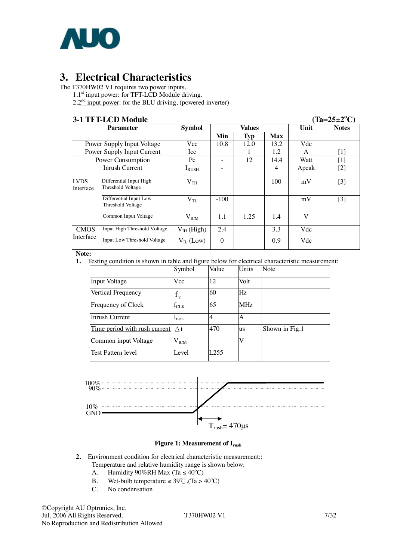

# **3. Electrical Characteristics**

The T370HW02 V1 requires two power inputs.

1.1<sup>st</sup> input power: for TFT-LCD Module driving.

 $2.2<sup>nd</sup>$  input power: for the BLU driving, (powered inverter)

**3-1 TFT-LCD Module** (<br> **2-1 Parameter** (Tampbol ) (Taxable ) (Taxable ) (Taxable ) (Taxable ) (Taxable ) (Taxable ) (Taxable ) (Taxable ) (Taxable ) (Taxable ) (Taxable ) (Taxable ) (Taxable ) (Taxable ) (Taxable ) (Taxab  $(Ta=25\pm2^{\circ}C)$ **Parameter Min Typ Max**  $Notes$ Power Supply Input Voltage Vcc 10.8 12.0 13.2 Vdc<br>
Power Supply Input Current Icc 1 1 1.2 A Power Supply Input Current Icc 1 1.2 A [1]<br>
Power Consumption Pc - 12 14.4 Watt [1] Power Consumption  $P_{\text{c}}$  - 12 14.4 Watt [1] Inrush Current I<sub>RUSH</sub> - 4 Apeak [2] Differential Input High Threshold Voltage  $V_{TH}$  | | 100 | mV | [3] Differential Input Low Threshold Voltage VTL -100 mV [3] LVDS Interface  $Common Input Voltage$   $V_{ICM}$  1.1 1.25 1.4 V CMOS Input High Threshold Voltage V<sub>IH</sub> (High) 2.4 3.3 Vdc Input Low Threshold Voltage  $V_{II}$  (Low) 0 0.9 Vdc

**Note:**

**1.** Testing condition is shown in table and figure below for electrical characteristic measurement:

|                               | Symbol                     | Value            | Units     | Note           |
|-------------------------------|----------------------------|------------------|-----------|----------------|
| Input Voltage                 | Vcc                        | 12               | Volt      |                |
| Vertical Frequency            | $\mathbf{V}$               | 60               | Hz        |                |
| Frequency of Clock            | $\rm{f_{CLK}}$             | 65               | MHz       |                |
| Inrush Current                | $\mathbf{I}_{\text{rush}}$ | $\overline{4}$   | А         |                |
| Time period with rush current | $\wedge$ t                 | 470              | <b>us</b> | Shown in Fig.1 |
| Common input Voltage          | $\rm V_{ICM}$              |                  | V         |                |
| Test Pattern level            | Level                      | L <sub>255</sub> |           |                |



#### **Figure 1: Measurement of Irush**

- **2.** Environment condition for electrical characteristic measurement:: Temperature and relative humidity range is shown below:
	- A. Humidity  $90\%RH$  Max (Ta  $\leq 40^{\circ}C$ )
	- B. Wet-bulb temperature  $\leq 39^{\circ}$ C. (Ta > 40<sup>o</sup>C)
	- C. No condensation

©Copyright AU Optronics, Inc. Jul, 2006 All Rights Reserved. T370HW02 V1 7/32 No Reproduction and Redistribution Allowed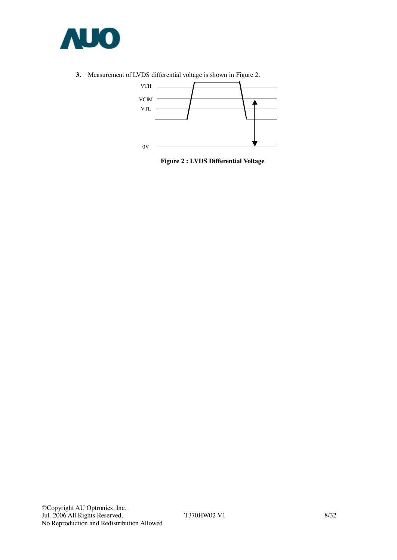

**3.** Measurement of LVDS differential voltage is shown in Figure 2.



**Figure 2 : LVDS Differential Voltage**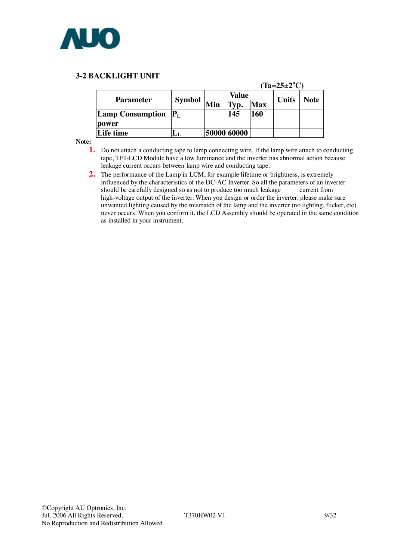

#### **3-2 BACKLIGHT UNIT**

|                                 |               | $(Ta=25\pm2^{\circ}C)$ |             |            |              |      |  |  |  |  |  |  |
|---------------------------------|---------------|------------------------|-------------|------------|--------------|------|--|--|--|--|--|--|
|                                 |               |                        | Value       |            | <b>Units</b> | Note |  |  |  |  |  |  |
| <b>Parameter</b>                | <b>Symbol</b> | Min                    | Гyp.        | <b>Max</b> |              |      |  |  |  |  |  |  |
| <b>Lamp Consumption</b> $ P_L $ |               |                        | 145         | <b>160</b> |              |      |  |  |  |  |  |  |
| power                           |               |                        |             |            |              |      |  |  |  |  |  |  |
| <b>Life time</b>                |               |                        | 50000 60000 |            |              |      |  |  |  |  |  |  |

**Note:** 

- **1.** Do not attach a conducting tape to lamp connecting wire. If the lamp wire attach to conducting tape, TFT-LCD Module have a low luminance and the inverter has abnormal action because leakage current occurs between lamp wire and conducting tape.
- **2.** The performance of the Lamp in LCM, for example lifetime or brightness, is extremely influenced by the characteristics of the DC-AC Inverter. So all the parameters of an inverter should be carefully designed so as not to produce too much leakage current from high-voltage output of the inverter. When you design or order the inverter, please make sure unwanted lighting caused by the mismatch of the lamp and the inverter (no lighting, flicker, etc) never occurs. When you confirm it, the LCD Assembly should be operated in the same condition as installed in your instrument.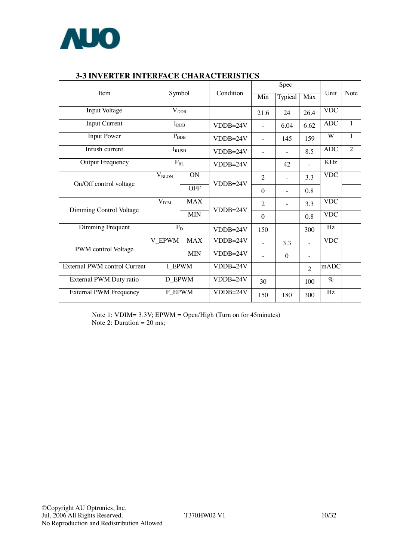

|                               |                                |            |            |                | Spec                     |                          |            |                |
|-------------------------------|--------------------------------|------------|------------|----------------|--------------------------|--------------------------|------------|----------------|
| Item                          | Symbol                         |            | Condition  | Min            | Typical                  | Max                      | Unit       | <b>Note</b>    |
| <b>Input Voltage</b>          | $\rm V_{\rm DDB}$              |            |            | 21.6           | 24                       | 26.4                     | <b>VDC</b> |                |
| <b>Input Current</b>          | $I_{\rm DDB}$                  |            | $VDDB=24V$ |                | 6.04                     | 6.62                     | <b>ADC</b> | $\mathbf{1}$   |
| <b>Input Power</b>            | $P_{\rm DDB}$                  |            | $VDDB=24V$ | $\overline{a}$ | 145                      | 159                      | W          | $\mathbf{1}$   |
| Inrush current                | $I_{RUSH}$                     |            | $VDDB=24V$ | $\overline{a}$ |                          | 8.5                      | <b>ADC</b> | $\overline{2}$ |
| <b>Output Frequency</b>       | $F_{BL}$                       |            | $VDDB=24V$ |                | 42                       |                          | <b>KHz</b> |                |
|                               | $\rm V_{BLON}$                 | ON         | $VDDB=24V$ | $\overline{2}$ | $\overline{\phantom{0}}$ | 3.3                      | <b>VDC</b> |                |
| On/Off control voltage        |                                | <b>OFF</b> |            | $\theta$       |                          | 0.8                      |            |                |
|                               | <b>MAX</b><br>V <sub>DIM</sub> |            | $VDDB=24V$ | $\overline{2}$ |                          | 3.3                      | <b>VDC</b> |                |
| Dimming Control Voltage       |                                | <b>MIN</b> |            | $\theta$       |                          | 0.8                      | <b>VDC</b> |                |
| Dimming Frequent              | $\overline{F_D}$               |            | $VDDB=24V$ | 150            |                          | 300                      | Hz         |                |
|                               | <b>V_EPWM</b>                  | <b>MAX</b> | $VDDB=24V$ |                | 3.3                      |                          | <b>VDC</b> |                |
| PWM control Voltage           |                                | <b>MIN</b> | $VDDB=24V$ |                | $\Omega$                 | $\overline{\phantom{a}}$ |            |                |
| External PWM control Current  |                                | I EPWM     |            |                |                          | $\overline{2}$           | mADC       |                |
| External PWM Duty ratio       | <b>D_EPWM</b>                  |            | $VDDB=24V$ | 30             |                          | 100                      | $\%$       |                |
| <b>External PWM Frequency</b> | $\overline{F}$ EPWM            |            | $VDDB=24V$ | 150            | 180                      | 300                      | Hz         |                |

### **3-3 INVERTER INTERFACE CHARACTERISTICS**

Note 1: VDIM= 3.3V; EPWM = Open/High (Turn on for 45minutes) Note 2: Duration  $= 20$  ms;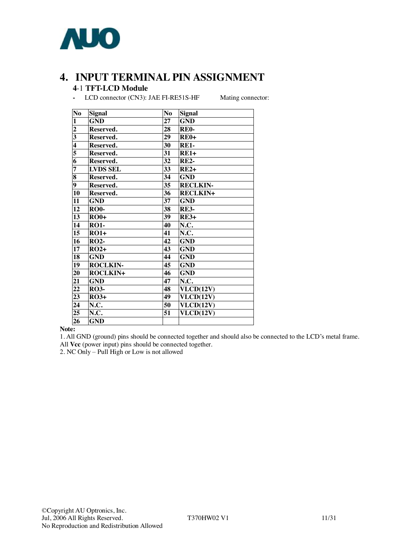

# **4. INPUT TERMINAL PIN ASSIGNMENT**

### -1 **TFT-LCD Module**

**-** LCD connector (CN3): JAE FI-RE51S-HF Mating connector:

| No                      | <b>Signal</b>   | N <sub>o</sub>  | <b>Signal</b>     |
|-------------------------|-----------------|-----------------|-------------------|
| $\mathbf{1}$            | <b>GND</b>      | 27              | <b>GND</b>        |
| $\overline{\mathbf{c}}$ | Reserved.       | 28              | RE <sub>0</sub> - |
| $\overline{\mathbf{3}}$ | Reserved.       | 29              | $RE0+$            |
| $\overline{\mathbf{4}}$ | Reserved.       | 30              | <b>RE1-</b>       |
| 5                       | Reserved.       | 31              | $RE1+$            |
| $\overline{\bf{6}}$     | Reserved.       | 32              | <b>RE2-</b>       |
| 7                       | <b>LVDS SEL</b> | 33              | $RE2+$            |
| $\overline{\mathbf{8}}$ | Reserved.       | 34              | <b>GND</b>        |
| 9                       | Reserved.       | 35              | <b>RECLKIN-</b>   |
| 10                      | Reserved.       | $\overline{36}$ | <b>RECLKIN+</b>   |
| $\overline{11}$         | <b>GND</b>      | $\overline{37}$ | <b>GND</b>        |
| 12                      | <b>RO0-</b>     | 38              | <b>RE3-</b>       |
| 13                      | $RO0+$          | 39              | $RE3+$            |
| 14                      | <b>RO1-</b>     | 40              | N.C.              |
| 15                      | $RO1+$          | 41              | N.C.              |
| 16                      | <b>RO2-</b>     | 42              | <b>GND</b>        |
| 17                      | $RO2+$          | 43              | <b>GND</b>        |
| 18                      | <b>GND</b>      | 44              | <b>GND</b>        |
| 19                      | <b>ROCLKIN-</b> | 45              | <b>GND</b>        |
| 20                      | <b>ROCLKIN+</b> | 46              | <b>GND</b>        |
| 21                      | <b>GND</b>      | 47              | N.C.              |
| $\overline{22}$         | <b>RO3-</b>     | 48              | VLCD(12V)         |
| 23                      | $RO3+$          | 49              | VLCD(12V)         |
| 24                      | N.C.            | 50              | VLCD(12V)         |
| 25                      | N.C.            | 51              | VLCD(12V)         |
| 26                      | <b>GND</b>      |                 |                   |

#### **Note:**

1. All GND (ground) pins should be connected together and should also be connected to the LCD's metal frame. All **Vcc** (power input) pins should be connected together.

2. NC Only – Pull High or Low is not allowed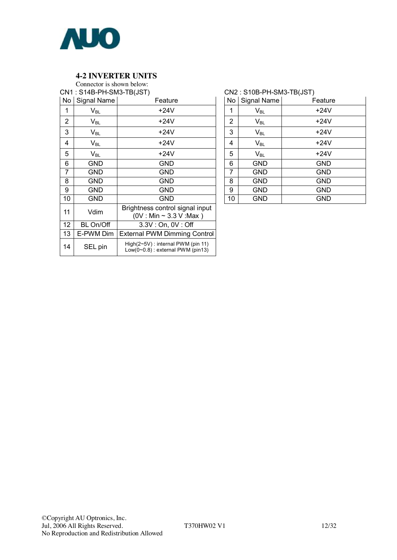

#### **4-2 INVERTER UNITS**

Connector is shown below:

|    | CN1: S14B-PH-SM3-TB(JST)   |                                                                                    |
|----|----------------------------|------------------------------------------------------------------------------------|
|    | No Signal Name             | Feature                                                                            |
| 1  | $\mathsf{V}_{\mathsf{BL}}$ | +24V                                                                               |
| 2  | $V_{BL}$                   | +24V                                                                               |
| 3  | $V_{BL}$                   | $+24V$                                                                             |
| 4  | $V_{BL}$                   | $+24V$                                                                             |
| 5  | $V_{BL}$                   | +24V                                                                               |
| 6  | GND                        | GND                                                                                |
| 7  | GND                        | GND                                                                                |
| 8  | GND                        | GND                                                                                |
| 9  | GND                        | GND                                                                                |
| 10 | GND                        | GND                                                                                |
| 11 | Vdim                       | Brightness control signal input<br>$(0V : Min \sim 3.3 V : Max)$                   |
| 12 | BL On/Off                  | 3.3V: On, 0V: Off                                                                  |
| 13 | E-PWM Dim                  | <b>External PWM Dimming Control</b>                                                |
| 14 | SEL pin                    | $High(2~5V)$ : internal PWM (pin 11)<br>Low( $0 \sim 0.8$ ) : external PWM (pin13) |

#### CN2 : S10B-PH-SM3-TB(JST)

| No             | Signal Name                | Feature    |
|----------------|----------------------------|------------|
| 1              | $\mathsf{V}_{\mathsf{BL}}$ | $+24V$     |
| $\overline{2}$ | $\mathsf{V}_{\mathsf{BL}}$ | $+24V$     |
| 3              | $\mathsf{V}_{\mathsf{BL}}$ | $+24V$     |
| 4              | $V_{BL}$                   | $+24V$     |
| 5              | $\mathsf{V}_{\mathsf{BL}}$ | $+24V$     |
| 6              | <b>GND</b>                 | <b>GND</b> |
| 7              | GND                        | <b>GND</b> |
| 8              | <b>GND</b>                 | <b>GND</b> |
| 9              | <b>GND</b>                 | <b>GND</b> |
| 10             | GND                        | <b>GND</b> |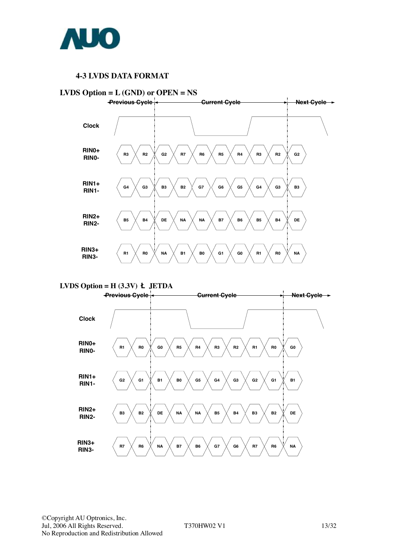

#### **4-3 LVDS DATA FORMAT**





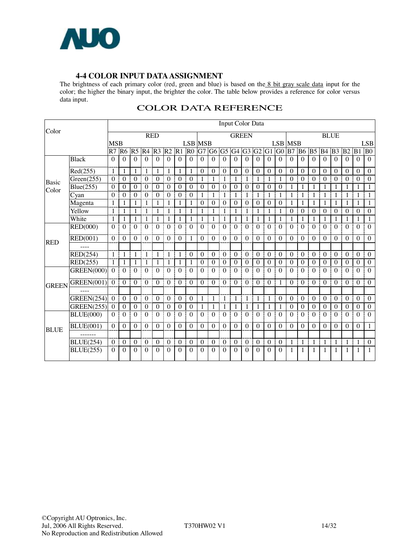

#### **4-4 COLOR INPUT DATAASSIGNMENT**

The brightness of each primary color (red, green and blue) is based on the 8 bit gray scale data input for the color; the higher the binary input, the brighter the color. The table below provides a reference for color versus data input.

|              |                   |              |                  |                        |                  |                  |                  |                  |                |                  |                  | Input Color Data |                   |                  |                  |                  |                  |                                |                  |                  |                  |                  |                  |                       |                  |
|--------------|-------------------|--------------|------------------|------------------------|------------------|------------------|------------------|------------------|----------------|------------------|------------------|------------------|-------------------|------------------|------------------|------------------|------------------|--------------------------------|------------------|------------------|------------------|------------------|------------------|-----------------------|------------------|
| Color        |                   |              |                  |                        |                  | <b>RED</b>       |                  |                  |                |                  |                  |                  | <b>GREEN</b>      |                  |                  |                  |                  |                                |                  |                  |                  | <b>BLUE</b>      |                  |                       |                  |
|              |                   | <b>MSB</b>   |                  |                        |                  |                  |                  |                  | <b>LSB MSB</b> |                  |                  |                  |                   |                  |                  |                  |                  | <b>LSB MSB</b>                 |                  |                  |                  |                  |                  |                       | <b>LSB</b>       |
|              |                   |              |                  | R7  R6  R5  R4  R3  R2 |                  |                  |                  | $R1$ $R0$        |                |                  | G7 G6 G5         |                  | G4 G3             |                  | G2               | $G1$ $G0$        |                  | $\overline{B7}$ B <sub>6</sub> |                  | B <sub>5</sub>   | <b>B</b> 4       | B <sub>3</sub>   | B <sub>2</sub>   | B1                    | B <sub>0</sub>   |
|              | <b>Black</b>      | $\Omega$     | $\Omega$         | $\Omega$               | $\theta$         | $\Omega$         | $\Omega$         | $\Omega$         | $\Omega$       | $\Omega$         | $\Omega$         | $\Omega$         | $\theta$          | $\Omega$         | $\Omega$         | $\Omega$         | $\Omega$         | $\Omega$                       | $\Omega$         | $\theta$         | $\Omega$         | $\Omega$         | $\Omega$         | $\Omega$              | $\theta$         |
|              | Red(255)          | $\mathbf{1}$ | 1                | 1                      | 1                | 1                | 1                | 1                | 1              | $\boldsymbol{0}$ | $\theta$         | $\theta$         | $\theta$          | $\theta$         | $\mathbf{0}$     | $\overline{0}$   | $\theta$         | $\boldsymbol{0}$               | $\theta$         | $\theta$         | $\theta$         | $\theta$         | $\theta$         | $\theta$              | $\boldsymbol{0}$ |
| Basic        | Green(255)        | $\theta$     | $\theta$         | $\theta$               | $\theta$         | $\theta$         | $\theta$         | $\theta$         | $\theta$       | 1                | 1                | 1                | 1                 | 1                | 1                | 1                | 1                | $\theta$                       | $\theta$         | $\theta$         | $\Omega$         | $\theta$         | $\theta$         | $\theta$<br>I         | $\theta$         |
| Color        | Blue(255)         | $\theta$     | $\theta$         | $\theta$               | $\boldsymbol{0}$ | $\theta$         | $\boldsymbol{0}$ | $\mathbf{0}$     | $\theta$       | $\boldsymbol{0}$ | $\theta$         | $\theta$         | $\mathbf{0}$      | $\theta$         | $\boldsymbol{0}$ | $\theta$         | $\mathbf{0}$     | 1                              | 1                |                  | 1                |                  | 1                | 1                     | 1                |
|              | Cyan              | $\theta$     | $\Omega$         | $\Omega$               | $\theta$         | $\Omega$         | $\Omega$         | $\Omega$         | $\theta$       | 1                | 1                | 1                | 1                 |                  | 1                |                  | $\mathbf{1}$     | 1                              | 1                | 1                | $\mathbf{1}$     |                  | 1                | 1                     | 1                |
|              | Magenta           | 1            | 1                |                        |                  |                  | 1                | 1                | 1              | $\theta$         | $\theta$         | $\Omega$         | $\theta$          | $\Omega$         | $\theta$         | $\theta$         | $\theta$         | 1                              | 1                |                  | 1                |                  | 1                |                       | 1                |
|              | Yellow            | $\mathbf{1}$ |                  |                        | 1                | 1                | 1                | 1                | 1              | 1                | 1                | 1                | 1                 | 1                | 1                | 1                | 1                | $\boldsymbol{0}$               | $\boldsymbol{0}$ | $\boldsymbol{0}$ | $\boldsymbol{0}$ | $\boldsymbol{0}$ | $\boldsymbol{0}$ | $\mathbf{0}$          | $\boldsymbol{0}$ |
|              | White             | 1            | 1                |                        |                  | 1                | 1                | 1                | 1              | 1                | 1                | 1                | 1                 |                  | 1                |                  | -1               |                                | 1                | 1                | 1                |                  | 1                |                       | 1                |
| <b>RED</b>   | RED(000)          | $\Omega$     | $\Omega$         | $\Omega$               | $\Omega$         | $\Omega$         | $\Omega$         | $\Omega$         | $\Omega$       | $\Omega$         | $\Omega$         | $\Omega$         | $\theta$          | $\Omega$         | $\Omega$         | $\Omega$         | $\Omega$         | $\Omega$                       | $\Omega$         | $\Omega$         | $\Omega$         | $\Omega$         | $\Omega$         | $\Omega$<br>ŧ         | $\Omega$         |
|              | <b>RED(001)</b>   | $\Omega$     | $\theta$         | $\Omega$               | $\theta$         | $\theta$         | $\theta$         | $\theta$         | 1              | $\Omega$         | $\Omega$         | $\Omega$         | $\theta$          | $\theta$         | $\theta$         | $\theta$         | $\theta$         | $\theta$                       | $\theta$         | $\theta$         | $\theta$         | $\theta$         | $\Omega$         | $\theta$              | $\theta$         |
|              |                   |              |                  |                        |                  |                  |                  |                  |                |                  |                  |                  |                   |                  |                  |                  |                  |                                |                  |                  |                  |                  |                  |                       |                  |
|              | RED(254)          | $\mathbf{1}$ | 1                | 1                      | 1                | 1                | 1                | 1                | $\theta$       | $\theta$         | $\theta$         | $\Omega$         | $\theta$          | $\theta$         | $\boldsymbol{0}$ | $\theta$         | $\theta$         | $\boldsymbol{0}$               | $\theta$         | $\theta$         | $\theta$         | $\boldsymbol{0}$ | $\theta$         | $\boldsymbol{0}$<br>I | $\theta$         |
|              | RED(255)          | $\mathbf{1}$ | 1                | $\mathbf{1}$           | 1                | $\mathbf{1}$     | 1                | -1               | 1              | $\boldsymbol{0}$ | $\boldsymbol{0}$ | $\boldsymbol{0}$ | $\boldsymbol{0}$  | $\boldsymbol{0}$ | $\mathbf{0}$     | $\boldsymbol{0}$ | $\boldsymbol{0}$ | $\boldsymbol{0}$               | $\overline{0}$   | $\boldsymbol{0}$ | $\boldsymbol{0}$ | $\boldsymbol{0}$ | $\boldsymbol{0}$ | $\mathbf{0}$          | $\mathbf{0}$     |
|              | <b>GREEN(000)</b> | $\Omega$     | $\theta$         | $\theta$               | $\theta$         | $\theta$         | $\theta$         | $\Omega$         | $\Omega$       | $\theta$         | $\Omega$         | $\Omega$         | $\mathbf{0}$      | $\theta$         | $\boldsymbol{0}$ | $\theta$         | $\Omega$         | $\Omega$                       | $\Omega$         | $\theta$         | $\theta$         | $\theta$         | $\theta$         | $\theta$              | $\mathbf{0}$     |
| <b>GREEN</b> | <b>GREEN(001)</b> | $\theta$     | $\theta$         | $\theta$               | $\boldsymbol{0}$ | $\theta$         | $\boldsymbol{0}$ | $\Omega$         | $\theta$       | $\theta$         | $\theta$         | $\theta$         | $\theta$          | $\theta$<br>Ī    | $\theta$         | $\theta$         | $\mathbf{1}$     | $\theta$                       | $\theta$         | $\theta$         | $\Omega$         | $\theta$         | $\theta$         | $\theta$              | $\theta$         |
|              |                   |              |                  |                        |                  |                  |                  |                  |                |                  |                  |                  |                   |                  |                  |                  |                  |                                |                  |                  |                  |                  |                  |                       |                  |
|              | <b>GREEN(254)</b> | $\theta$     | $\theta$         | $\Omega$               | $\theta$         | $\theta$         | $\theta$         | $\theta$         | $\theta$       | 1                | 1                | 1                | 1                 | 1                | 1                | 1                | $\theta$         | $\theta$                       | $\theta$         | $\theta$         | $\theta$         | $\theta$         | $\theta$<br>I    | $\theta$              | $\theta$         |
|              | GREEN(255)        | $\mathbf{0}$ | $\boldsymbol{0}$ | $\boldsymbol{0}$       | $\boldsymbol{0}$ | $\mathbf{0}$     | $\boldsymbol{0}$ | $\boldsymbol{0}$ | $\mathbf{0}$   | 1                | 1                | 1                | 1                 | 1                | 1                | 1                | -1               | $\boldsymbol{0}$               | $\boldsymbol{0}$ | $\overline{0}$   | $\boldsymbol{0}$ | $\boldsymbol{0}$ | $\bf{0}$         | $\boldsymbol{0}$      | $\boldsymbol{0}$ |
|              | <b>BLUE(000)</b>  | $\Omega$     | $\theta$         | $\Omega$               | $\theta$         | $\Omega$         | $\Omega$         | $\Omega$         | $\Omega$       | $\Omega$         | $\Omega$         | $\Omega$         | $\Omega$          | $\Omega$         | $\theta$         | $\Omega$<br>j    | $\Omega$         | $\Omega$                       | $\Omega$         | $\Omega$         | $\Omega$         | $\Omega$         | $\Omega$         | $\Omega$<br>÷         | $\Omega$         |
| <b>BLUE</b>  | <b>BLUE(001)</b>  | $\Omega$     | $\boldsymbol{0}$ | $\theta$               | $\theta$         | $\boldsymbol{0}$ | $\Omega$         | $\theta$         | $\theta$       | $\theta$         | $\Omega$         | $\theta$         | $\theta$          | $\theta$         | $\theta$         | $\theta$         | $\theta$         | $\theta$                       | $\theta$         | $\theta$         | $\theta$         | $\theta$         | $\Omega$         | $\mathbf{0}$          | $\mathbf{1}$     |
|              | -------           |              |                  |                        |                  |                  |                  |                  |                |                  |                  |                  |                   |                  |                  |                  |                  |                                |                  |                  |                  |                  |                  |                       |                  |
|              | <b>BLUE(254)</b>  | $\theta$     | $\boldsymbol{0}$ | $\theta$               | $\Omega$         | $\theta$         | $\boldsymbol{0}$ | $\boldsymbol{0}$ | $\theta$       | $\boldsymbol{0}$ | $\theta$         | $\theta$         | $\mathbf{0}$<br>I | $\theta$         | $\theta$         | $\overline{0}$   | $\theta$         | $\mathbf{1}$                   | $\mathbf{1}$     | 1                | $\mathbf{1}$     | 1                | 1                | 1                     | $\boldsymbol{0}$ |
|              | <b>BLUE(255)</b>  | $\Omega$     | $\theta$         | $\Omega$               | $\Omega$         | $\Omega$         | $\Omega$         | $\Omega$         | $\Omega$       | $\Omega$         | $\Omega$         | $\Omega$         | $\Omega$<br>ł     | $\Omega$         | $\Omega$<br>÷    | $\Omega$         | $\Omega$         | 1                              | 1                | 1                | 1                | 1                | 1                | $\mathbf{1}$          | 1                |

#### COLOR DATA REFERENCE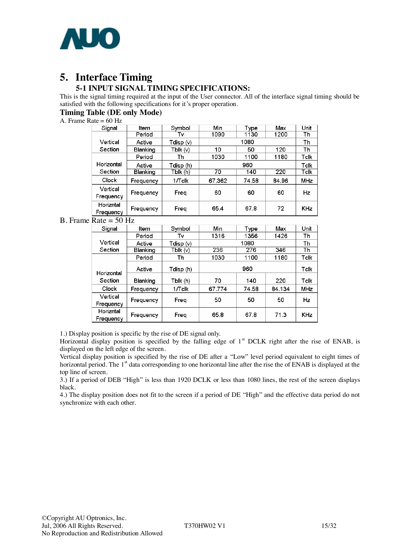

# **5. Interface Timing**

### **5-1 INPUT SIGNAL TIMING SPECIFICATIONS:**

This is the signal timing required at the input of the User connector. All of the interface signal timing should be satisfied with the following specifications for it's proper operation.

#### **Timing Table (DE only Mode)**

#### A. Frame Rate  $= 60$  Hz

| Signal                 | Item                | Symbol    | Min    | Type  | Max   | Unit       |
|------------------------|---------------------|-----------|--------|-------|-------|------------|
|                        | Period              | Tv        | 1090   | 1130  | 1200  | Th         |
| Vertical               | Active              | Tdisp (v) |        |       | Th    |            |
| Section                | Blanking            | Tblk(v)   | 10     | 50    | 120   | Th         |
|                        | Period              | Th        | 1030   | 1100  | 1180  | Tclk       |
| Horizontal             | Active              | Tdisp (h) | 960    |       |       | Tclk       |
| Section                | Blanking            | Tblk (h)  | 70     | 140   | 220   | Tclk       |
| Clock                  | 1/Tclk<br>Frequency |           | 67.362 | 74.58 | 84.96 | MHz        |
| Vertical<br>Frequency  | Frequency           | Freq      | 60     | 60    | 60    | Hz         |
| Horizntal<br>Frequency | Frequency<br>Freq   |           | 65.4   | 67.8  | 72    | <b>KHz</b> |

#### B. Frame Rate  $=$  50 Hz

| Signal                         | Symbol<br>Item      |           | Min    | Type  | Max    | Unit |
|--------------------------------|---------------------|-----------|--------|-------|--------|------|
|                                | Period              | Tv        | 1316   | 1356  | 1426   | Th   |
| Vertical                       | Active              | Tdisp (v) |        |       | Th     |      |
| Section                        | Blanking            | Tblk (v)  | 236    | 276   | 346    | Th   |
|                                | Period              | Τh        | 1030   | 1100  | 1180   | Tclk |
| Horizontal                     | Active              | Tdisp (h) |        | Tclk  |        |      |
| Section                        | Blanking            | Tblk (h)  | 70     | 140   | 220    | Tclk |
| Clock                          | 1/Tclk<br>Frequency |           | 67.774 | 74.58 | 84.134 | MHz  |
| Vertical                       |                     |           | 50     | 50    | 50     | Hz   |
| Frequency                      | Freg<br>Frequency   |           |        |       |        |      |
| Horizntal                      |                     |           | 65.8   | 67.8  | 71.3   | KHz  |
| Freg<br>Frequency<br>Frequency |                     |           |        |       |        |      |

1.) Display position is specific by the rise of DE signal only.

Horizontal display position is specified by the falling edge of  $1<sup>st</sup>$  DCLK right after the rise of ENAB, is displayed on the left edge of the screen.

Vertical display position is specified by the rise of DE after a "Low" level period equivalent to eight times of horizontal period. The 1<sup>st</sup> data corresponding to one horizontal line after the rise the of ENAB is displayed at the top line of screen.

3.) If a period of DEB "High" is less than 1920 DCLK or less than 1080 lines, the rest of the screen displays black.

4.) The display position does not fit to the screen if a period of DE "High" and the effective data period do not synchronize with each other.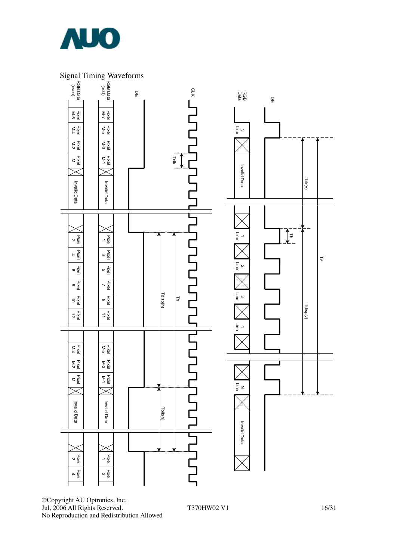

### Signal Timing Waveforms



©Copyright AU Optronics, Inc. Jul, 2006 All Rights Reserved. T370HW02 V1 16/31 No Reproduction and Redistribution Allowed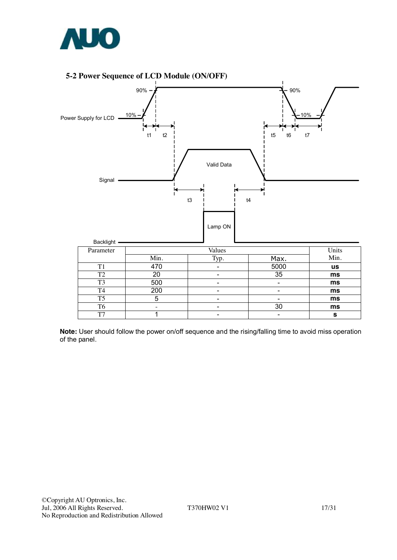

#### **5-2 Power Sequence of LCD Module (ON/OFF)**



**Note:** User should follow the power on/off sequence and the rising/falling time to avoid miss operation of the panel.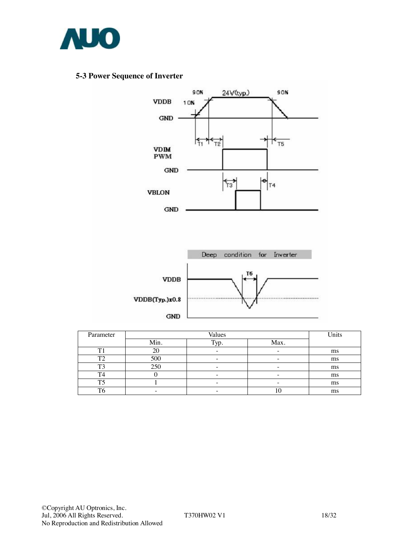

#### **5-3 Power Sequence of Inverter**



| Parameter      |      | Units |      |    |
|----------------|------|-------|------|----|
|                | Min. | Typ.  | Max. |    |
| T1             |      |       |      | ms |
| T <sub>2</sub> | 500  |       |      | ms |
| T3             | 250  |       |      | ms |
| T4             |      |       |      | ms |
| T5             |      |       |      | ms |
| T6             |      |       | .v   | ms |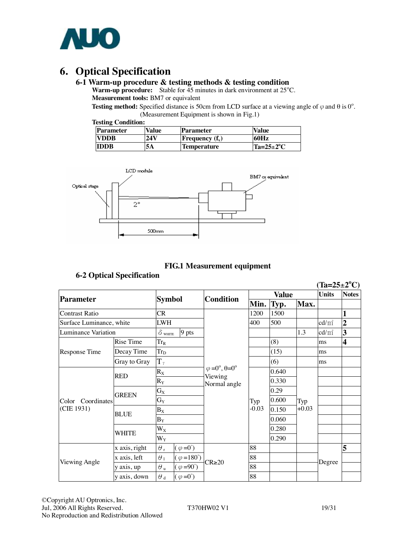

# **6. Optical Specification**

#### **6-1 Warm-up procedure & testing methods & testing condition**

Warm-up procedure: Stable for 45 minutes in dark environment at 25°C. **Measurement tools:** BM7 or equivalent

**Testing method:** Specified distance is 50cm from LCD surface at a viewing angle of  $\varphi$  and  $\theta$  is 0°. (Measurement Equipment is shown in Fig.1)

|  | <b>Testing Condition:</b> |
|--|---------------------------|
|--|---------------------------|

| <b>Parameter</b> | Value | Parameter                | <b>Value</b>         |
|------------------|-------|--------------------------|----------------------|
| <b>EVDDB</b>     | 24 V  | <b>Frequency</b> $(f_v)$ | 60Hz                 |
| <b>IDDB</b>      | 5Α    | <b>Temperature</b>       | $Ta=25\pm2\degree C$ |



#### **FIG.1 Measurement equipment**

#### **6-2 Optical Specification**

|                          |               |                         |                                       |                         |                |       |         | $(Ta=25\pm2^{\circ}\mathrm{C})$ |                         |
|--------------------------|---------------|-------------------------|---------------------------------------|-------------------------|----------------|-------|---------|---------------------------------|-------------------------|
|                          |               | <b>Symbol</b>           |                                       | <b>Condition</b>        | Value          |       |         | <b>Units</b>                    | <b>Notes</b>            |
| <b>Parameter</b>         |               |                         |                                       |                         | Min.           | Typ.  | Max.    |                                 |                         |
| <b>Contrast Ratio</b>    |               | CR                      |                                       |                         | 1200           | 1500  |         |                                 |                         |
| Surface Luminance, white |               | <b>LWH</b>              |                                       |                         | 400            | 500   |         | $\text{cd/m}^2$                 | $\overline{2}$          |
| Luminance Variation      |               | $\delta$ white          | 9 pts                                 |                         |                |       | 1.3     | 3<br>$\text{cd/m}^2$            |                         |
|                          | Rise Time     | $Tr_R$                  |                                       |                         |                | (8)   |         | ms                              | $\overline{\mathbf{4}}$ |
| Response Time            | Decay Time    | <b>Trp</b>              |                                       |                         |                | (15)  |         | ms                              |                         |
|                          | Gray to Gray  | $T_{\gamma}$            |                                       |                         |                | (6)   |         | ms                              |                         |
|                          |               | $\mathbf{R}_\mathrm{X}$ | $\varphi = 0^\circ, \theta = 0^\circ$ |                         |                | 0.640 |         |                                 |                         |
|                          | <b>RED</b>    | $R_Y$                   |                                       | Viewing<br>Normal angle |                | 0.330 |         |                                 |                         |
|                          |               | $\mathbf{G}_\mathbf{X}$ |                                       |                         |                | 0.29  |         |                                 |                         |
| Color Coordinates        | <b>GREEN</b>  | $G_Y$                   |                                       |                         | Typ<br>$-0.03$ | 0.600 | Typ     |                                 |                         |
| (CIE 1931)               | <b>BLUE</b>   | $B_X$                   |                                       |                         |                | 0.150 | $+0.03$ |                                 |                         |
|                          |               | $B_Y$<br>$W_X$          |                                       |                         |                | 0.060 |         |                                 |                         |
|                          | WHITE         |                         |                                       |                         |                | 0.280 |         |                                 |                         |
|                          |               | $W_Y$                   |                                       |                         |                | 0.290 |         |                                 |                         |
|                          | x axis, right | $\theta$ r              | $(\varphi = 0^{\circ})$               |                         | 88             |       |         |                                 | 5                       |
|                          | x axis, left  | $\theta_1$              | $(\varphi = 180^{\circ})$             |                         | 88             |       |         | Degree                          |                         |
| Viewing Angle            | y axis, up    | $\theta$ u              | $(\varphi = 90^{\circ})$              | $CR \ge 20$             | 88             |       |         |                                 |                         |
|                          | y axis, down  | $\theta$ d              | $(\varphi = 0^{\circ})$               |                         | 88             |       |         |                                 |                         |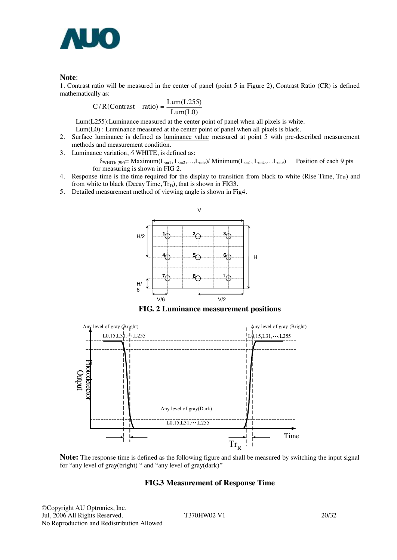

**Note:**<br>1. Contrast ratio will be measured in the center of panel (point 5 in Figure 2), Contrast Ratio (CR) is defined mathematically as:

$$
C/R (Contrast ratio) = \frac{Lum(L255)}{Lum(L0)}
$$

Lum(L255):Luminance measured at the center point of panel when all pixels is white.

- Lum(L0) : Luminance measured at the center point of panel when all pixels is black.
- 2. Surface luminance is defined as luminance value measured at point 5 with pre-described measurement methods and measurement condition.
- 3. Luminance variation,  $\delta$  WHITE, is defined as:

 $\delta_{\text{WHITE (9P)}} = \text{Maximum}(L_{on1}, L_{on2}, \ldots, L_{on9}) / \text{Minimum}(L_{on1}, L_{on2}, \ldots, L_{on9})$  Position of each 9 pts for measuring is shown in FIG 2.

- 4. Response time is the time required for the display to transition from black to white (Rise Time,  $Tr_R$ ) and from white to black (Decay Time,  $Tr_D$ ), that is shown in FIG3.
- 5. Detailed measurement method of viewing angle is shown in Fig4.



**FIG. 2 Luminance measurement positions** 



**Note:** The response time is defined as the following figure and shall be measured by switching the input signal for "any level of gray(bright) " and "any level of gray(dark)"

#### **FIG.3 Measurement of Response Time**

©Copyright AU Optronics, Inc. Jul, 2006 All Rights Reserved. T370HW02 V1 20/32 No Reproduction and Redistribution Allowed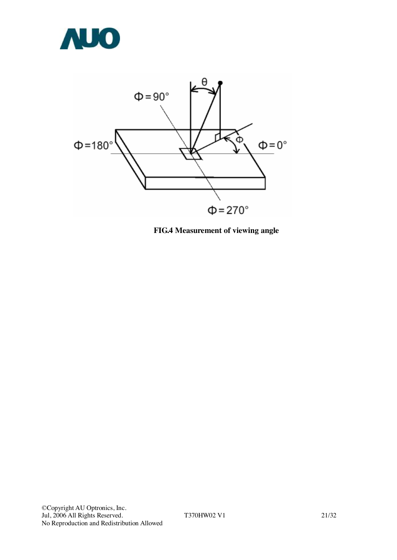



**FIG.4 Measurement of viewing angle**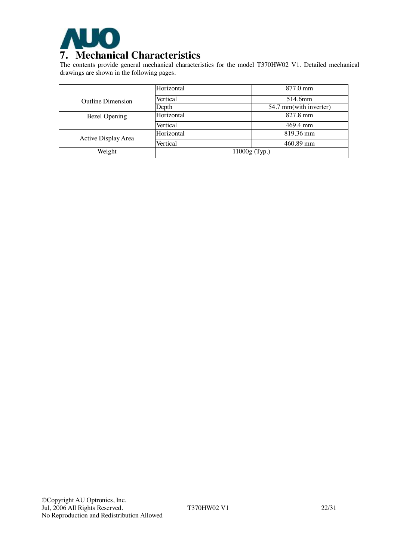

The contents provide general mechanical characteristics for the model T370HW02 V1. Detailed mechanical drawings are shown in the following pages.

|                          | Horizontal | 877.0 mm               |
|--------------------------|------------|------------------------|
| <b>Outline Dimension</b> | Vertical   | 514.6mm                |
|                          | Depth      | 54.7 mm(with inverter) |
| Bezel Opening            | Horizontal | 827.8 mm               |
|                          | Vertical   | 469.4 mm               |
| Active Display Area      | Horizontal | 819.36 mm              |
|                          | Vertical   | 460.89 mm              |
| Weight                   |            | $11000g$ (Typ.)        |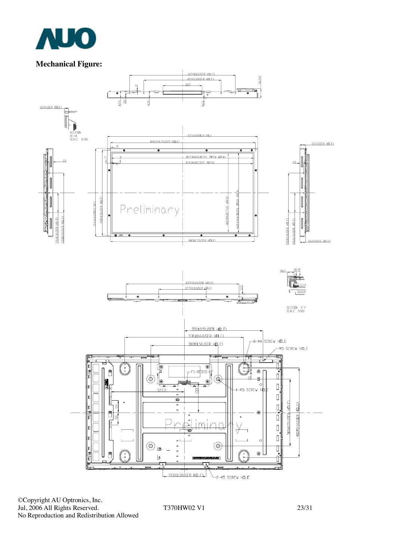

### **Mechanical Figure:**



©Copyright AU Optronics, Inc. Jul, 2006 All Rights Reserved. T370HW02 V1 23/31 No Reproduction and Redistribution Allowed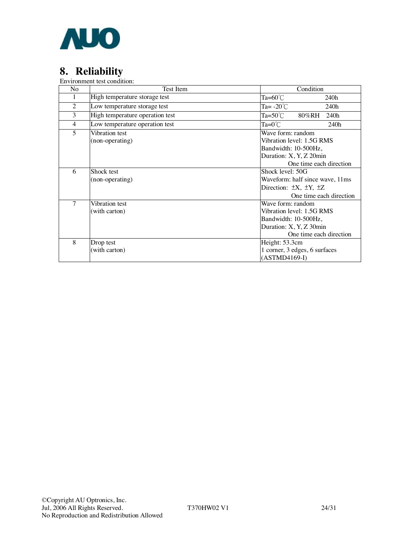

# **8. Reliability**

Environment test condition:

| No             | Test Item                         | Condition                                                                                                                    |  |  |
|----------------|-----------------------------------|------------------------------------------------------------------------------------------------------------------------------|--|--|
| 1              | High temperature storage test     | Ta= $60^{\circ}$ C<br>240h                                                                                                   |  |  |
| $\overline{2}$ | Low temperature storage test      | Ta= $-20^{\circ}$ C<br>240h                                                                                                  |  |  |
| 3              | High temperature operation test   | Ta=50 $°C$<br>240h<br>80%RH                                                                                                  |  |  |
| $\overline{4}$ | Low temperature operation test    | $Ta=0^{\circ}C$<br>240h                                                                                                      |  |  |
| 5              | Vibration test<br>(non-operating) | Wave form: random<br>Vibration level: 1.5G RMS<br>Bandwidth: 10-500Hz,<br>Duration: X, Y, Z 20min<br>One time each direction |  |  |
| 6              | Shock test<br>(non-operating)     | Shock level: 50G<br>Waveform: half since wave, 11ms<br>Direction: $\pm X$ , $\pm Y$ , $\pm Z$<br>One time each direction     |  |  |
| 7              | Vibration test<br>(with carton)   | Wave form: random<br>Vibration level: 1.5G RMS<br>Bandwidth: 10-500Hz,<br>Duration: X, Y, Z 30min<br>One time each direction |  |  |
| 8              | Drop test<br>(with carton)        | Height: 53.3cm<br>1 corner, 3 edges, 6 surfaces<br>$(ASTMD4169-I)$                                                           |  |  |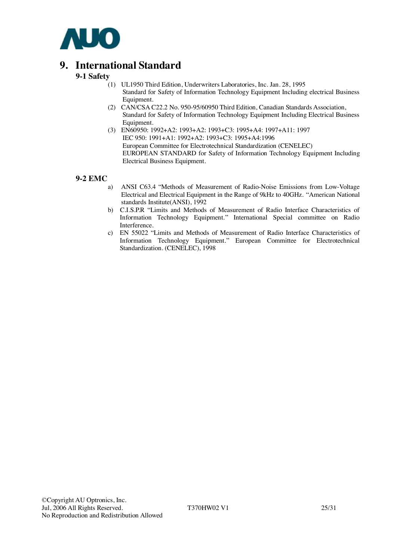

## **9. International Standard**

#### **9-1 Safety**

- (1) UL1950 Third Edition, Underwriters Laboratories, Inc. Jan. 28, 1995 Standard for Safety of Information Technology Equipment Including electrical Business Equipment.
- (2) CAN/CSA C22.2 No. 950-95/60950 Third Edition, Canadian Standards Association, Standard for Safety of Information Technology Equipment Including Electrical Business Equipment.
- (3) EN60950: 1992+A2: 1993+A2: 1993+C3: 1995+A4: 1997+A11: 1997 IEC 950: 1991+A1: 1992+A2: 1993+C3: 1995+A4:1996 European Committee for Electrotechnical Standardization (CENELEC) EUROPEAN STANDARD for Safety of Information Technology Equipment Including Electrical Business Equipment.

#### **9-2 EMC**

- a) ANSI C63.4 "Methods of Measurement of Radio-Noise Emissions from Low-Voltage Electrical and Electrical Equipment in the Range of 9kHz to 40GHz. "American National standards Institute(ANSI), 1992
- b) C.I.S.P.R "Limits and Methods of Measurement of Radio Interface Characteristics of Information Technology Equipment." International Special committee on Radio Interference.
- c) EN 55022 "Limits and Methods of Measurement of Radio Interface Characteristics of Information Technology Equipment." European Committee for Electrotechnical Standardization. (CENELEC), 1998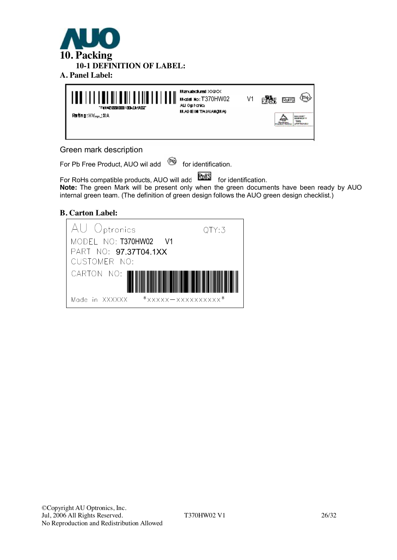



#### Green mark description

For Pb Free Product, AUO wil add  $\bullet$  for identification.

For RoHs compatible products, AUO will add **FORM** for identification. **Note:** The green Mark will be present only when the green documents have been ready by AUO internal green team. (The definition of green design follows the AUO green design checklist.)

#### **B. Carton Label:**

| AU Optronics                                           | QTY:3 |
|--------------------------------------------------------|-------|
| MODEL NO: T370HW02 V1                                  |       |
| PART NO: 97.37T04.1XX                                  |       |
| CUSTOMER NO:                                           |       |
| CARTON NO:                                             |       |
| $*$ xxxxx - xxxxxxxxxxx <sup>*</sup><br>Made in XXXXXX |       |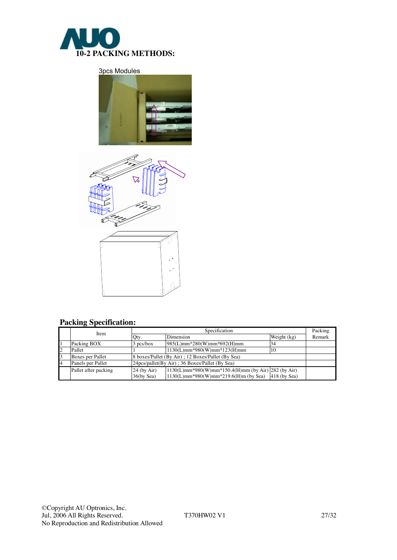

3pcs Modules





## **Packing Specification:**

|    | Item                 | Specification                                                           |                                                       |             |        |  |
|----|----------------------|-------------------------------------------------------------------------|-------------------------------------------------------|-------------|--------|--|
|    |                      | Qty.                                                                    | Dimension                                             | Weight (kg) | Remark |  |
|    | Packing BOX          | $3$ pcs/box                                                             | 985(L)mm*280(W)mm*692(H)mm                            |             |        |  |
| 2  | Pallet               |                                                                         | $1130(L)mm*980(W)mm*123(H)mm$                         | 10          |        |  |
| 13 | Boxes per Pallet     |                                                                         | 8 boxes/Pallet (By Air); 12 Boxes/Pallet (By Sea)     |             |        |  |
| 14 | Panels per Pallet    |                                                                         | 24 pcs/pallet(By Air); 36 Boxes/Pallet (By Sea)       |             |        |  |
|    | Pallet after packing | $1130(L)mm*980(W)mm*150.4(H)mm (by Air)$ [282 (by Air)<br>$24$ (by Air) |                                                       |             |        |  |
|    |                      | $36$ (by Sea)                                                           | $1130(L)$ mm*980(W)mm*219.6(H)m (by Sea) 418 (by Sea) |             |        |  |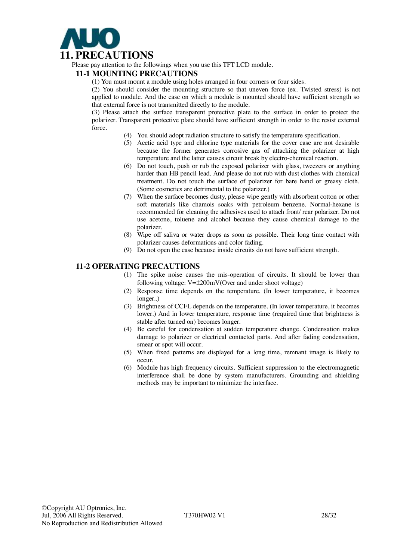

Please pay attention to the followings when you use this TFT LCD module.

#### **11-1 MOUNTING PRECAUTIONS**

(1) You must mount a module using holes arranged in four corners or four sides.

(2) You should consider the mounting structure so that uneven force (ex. Twisted stress) is not applied to module. And the case on which a module is mounted should have sufficient strength so that external force is not transmitted directly to the module.

(3) Please attach the surface transparent protective plate to the surface in order to protect the polarizer. Transparent protective plate should have sufficient strength in order to the resist external force.

- (4) You should adopt radiation structure to satisfy the temperature specification.
- (5) Acetic acid type and chlorine type materials for the cover case are not desirable because the former generates corrosive gas of attacking the polarizer at high temperature and the latter causes circuit break by electro-chemical reaction.
- (6) Do not touch, push or rub the exposed polarizer with glass, tweezers or anything harder than HB pencil lead. And please do not rub with dust clothes with chemical treatment. Do not touch the surface of polarizer for bare hand or greasy cloth. (Some cosmetics are detrimental to the polarizer.)
- (7) When the surface becomes dusty, please wipe gently with absorbent cotton or other soft materials like chamois soaks with petroleum benzene. Normal-hexane is recommended for cleaning the adhesives used to attach front/ rear polarizer. Do not use acetone, toluene and alcohol because they cause chemical damage to the polarizer.
- (8) Wipe off saliva or water drops as soon as possible. Their long time contact with polarizer causes deformations and color fading.
- (9) Do not open the case because inside circuits do not have sufficient strength.

#### **11-2 OPERATING PRECAUTIONS**

- (1) The spike noise causes the mis-operation of circuits. It should be lower than following voltage:  $V=\pm 200$ mV(Over and under shoot voltage)
- (2) Response time depends on the temperature. (In lower temperature, it becomes longer..)
- (3) Brightness of CCFL depends on the temperature. (In lower temperature, it becomes lower.) And in lower temperature, response time (required time that brightness is stable after turned on) becomes longer.
- (4) Be careful for condensation at sudden temperature change. Condensation makes damage to polarizer or electrical contacted parts. And after fading condensation, smear or spot will occur.
- (5) When fixed patterns are displayed for a long time, remnant image is likely to occur.
- (6) Module has high frequency circuits. Sufficient suppression to the electromagnetic interference shall be done by system manufacturers. Grounding and shielding methods may be important to minimize the interface.